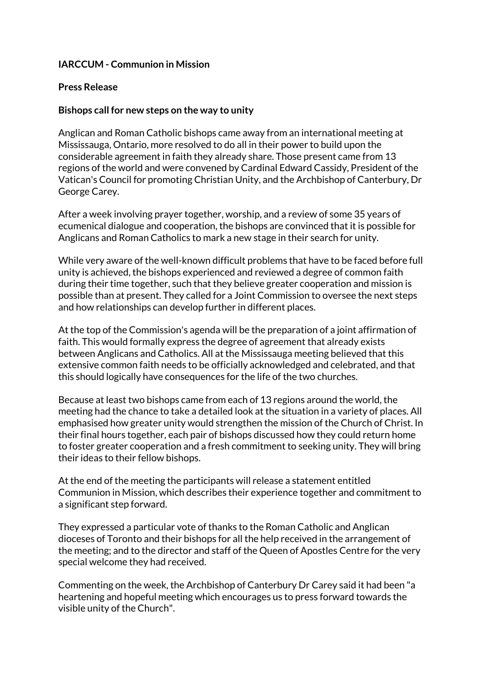### **IARCCUM - Communion in Mission**

#### **Press Release**

#### **Bishops call for new steps on the way to unity**

Anglican and Roman Catholic bishops came away from an international meeting at Mississauga, Ontario, more resolved to do all in their power to build upon the considerable agreement in faith they already share. Those present came from 13 regions of the world and were convened by Cardinal Edward Cassidy, President of the Vatican's Council for promoting Christian Unity, and the Archbishop of Canterbury, Dr George Carey.

After a week involving prayer together, worship, and a review of some 35 years of ecumenical dialogue and cooperation, the bishops are convinced that it is possible for Anglicans and Roman Catholics to mark a new stage in their search for unity.

While very aware of the well-known difficult problems that have to be faced before full unity is achieved, the bishops experienced and reviewed a degree of common faith during their time together, such that they believe greater cooperation and mission is possible than at present. They called for a Joint Commission to oversee the next steps and how relationships can develop further in different places.

At the top of the Commission's agenda will be the preparation of a joint affirmation of faith. This would formally express the degree of agreement that already exists between Anglicans and Catholics. All at the Mississauga meeting believed that this extensive common faith needs to be officially acknowledged and celebrated, and that this should logically have consequences for the life of the two churches.

Because at least two bishops came from each of 13 regions around the world, the meeting had the chance to take a detailed look at the situation in a variety of places. All emphasised how greater unity would strengthen the mission of the Church of Christ. In their final hours together, each pair of bishops discussed how they could return home to foster greater cooperation and a fresh commitment to seeking unity. They will bring their ideas to their fellow bishops.

At the end of the meeting the participants will release a statement entitled Communion in Mission, which describes their experience together and commitment to a significant step forward.

They expressed a particular vote of thanks to the Roman Catholic and Anglican dioceses of Toronto and their bishops for all the help received in the arrangement of the meeting; and to the director and staff of the Queen of Apostles Centre for the very special welcome they had received.

Commenting on the week, the Archbishop of Canterbury Dr Carey said it had been "a heartening and hopeful meeting which encourages us to press forward towards the visible unity of the Church".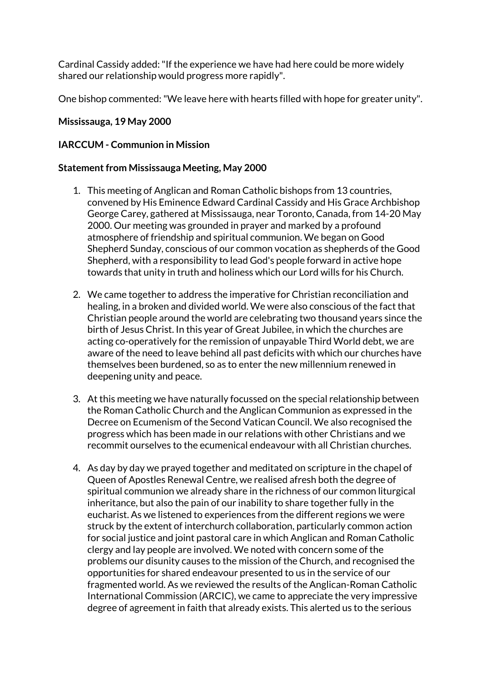Cardinal Cassidy added: "If the experience we have had here could be more widely shared our relationship would progress more rapidly".

One bishop commented: "We leave here with hearts filled with hope for greater unity".

### **Mississauga, 19 May 2000**

#### **IARCCUM - Communion in Mission**

#### **Statement from Mississauga Meeting, May 2000**

- 1. This meeting of Anglican and Roman Catholic bishops from 13 countries, convened by His Eminence Edward Cardinal Cassidy and His Grace Archbishop George Carey, gathered at Mississauga, near Toronto, Canada, from 14-20 May 2000. Our meeting was grounded in prayer and marked by a profound atmosphere of friendship and spiritual communion. We began on Good Shepherd Sunday, conscious of our common vocation as shepherds of the Good Shepherd, with a responsibility to lead God's people forward in active hope towards that unity in truth and holiness which our Lord wills for his Church.
- 2. We came together to address the imperative for Christian reconciliation and healing, in a broken and divided world. We were also conscious of the fact that Christian people around the world are celebrating two thousand years since the birth of Jesus Christ. In this year of Great Jubilee, in which the churches are acting co-operatively for the remission of unpayable Third World debt, we are aware of the need to leave behind all past deficits with which our churches have themselves been burdened, so as to enter the new millennium renewed in deepening unity and peace.
- 3. At this meeting we have naturally focussed on the special relationship between the Roman Catholic Church and the Anglican Communion as expressed in the Decree on Ecumenism of the Second Vatican Council. We also recognised the progress which has been made in our relations with other Christians and we recommit ourselves to the ecumenical endeavour with all Christian churches.
- 4. As day by day we prayed together and meditated on scripture in the chapel of Queen of Apostles Renewal Centre, we realised afresh both the degree of spiritual communion we already share in the richness of our common liturgical inheritance, but also the pain of our inability to share together fully in the eucharist. As we listened to experiences from the different regions we were struck by the extent of interchurch collaboration, particularly common action for social justice and joint pastoral care in which Anglican and Roman Catholic clergy and lay people are involved. We noted with concern some of the problems our disunity causes to the mission of the Church, and recognised the opportunities for shared endeavour presented to us in the service of our fragmented world. As we reviewed the results of the Anglican-Roman Catholic International Commission (ARCIC), we came to appreciate the very impressive degree of agreement in faith that already exists. This alerted us to the serious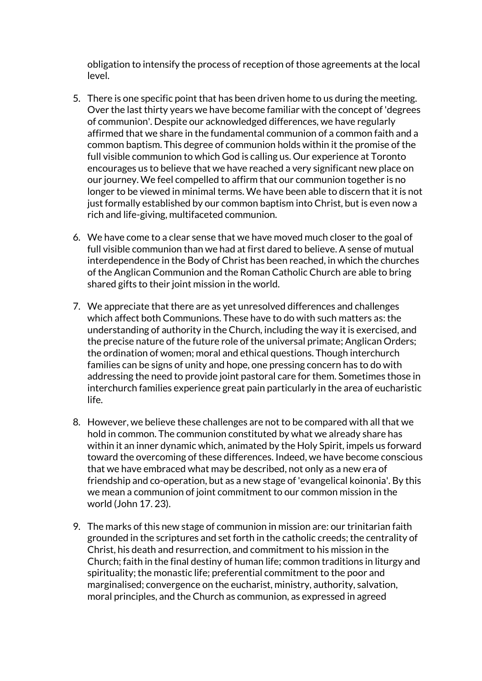obligation to intensify the process of reception of those agreements at the local level.

- 5. There is one specific point that has been driven home to us during the meeting. Over the last thirty years we have become familiar with the concept of 'degrees of communion'. Despite our acknowledged differences, we have regularly affirmed that we share in the fundamental communion of a common faith and a common baptism. This degree of communion holds within it the promise of the full visible communion to which God is calling us. Our experience at Toronto encourages us to believe that we have reached a very significant new place on our journey. We feel compelled to affirm that our communion together is no longer to be viewed in minimal terms. We have been able to discern that it is not just formally established by our common baptism into Christ, but is even now a rich and life-giving, multifaceted communion.
- 6. We have come to a clear sense that we have moved much closer to the goal of full visible communion than we had at first dared to believe. A sense of mutual interdependence in the Body of Christ has been reached, in which the churches of the Anglican Communion and the Roman Catholic Church are able to bring shared gifts to their joint mission in the world.
- 7. We appreciate that there are as yet unresolved differences and challenges which affect both Communions. These have to do with such matters as: the understanding of authority in the Church, including the way it is exercised, and the precise nature of the future role of the universal primate; Anglican Orders; the ordination of women; moral and ethical questions. Though interchurch families can be signs of unity and hope, one pressing concern has to do with addressing the need to provide joint pastoral care for them. Sometimes those in interchurch families experience great pain particularly in the area of eucharistic life.
- 8. However, we believe these challenges are not to be compared with all that we hold in common. The communion constituted by what we already share has within it an inner dynamic which, animated by the Holy Spirit, impels us forward toward the overcoming of these differences. Indeed, we have become conscious that we have embraced what may be described, not only as a new era of friendship and co-operation, but as a new stage of 'evangelical koinonia'. By this we mean a communion of joint commitment to our common mission in the world (John 17. 23).
- 9. The marks of this new stage of communion in mission are: our trinitarian faith grounded in the scriptures and set forth in the catholic creeds; the centrality of Christ, his death and resurrection, and commitment to his mission in the Church; faith in the final destiny of human life; common traditions in liturgy and spirituality; the monastic life; preferential commitment to the poor and marginalised; convergence on the eucharist, ministry, authority, salvation, moral principles, and the Church as communion, as expressed in agreed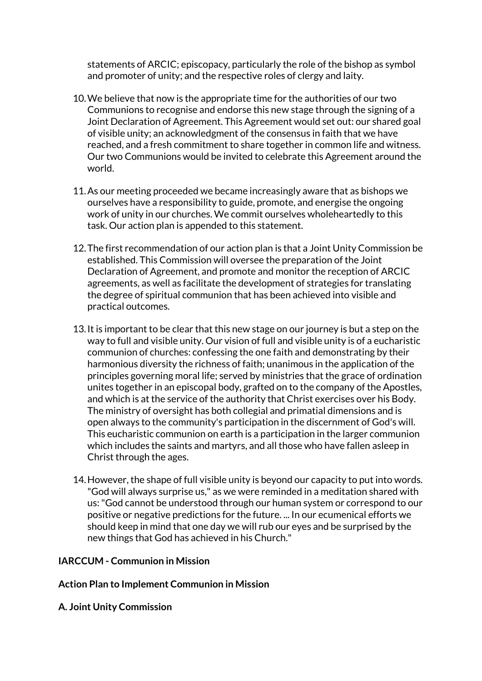statements of ARCIC; episcopacy, particularly the role of the bishop as symbol and promoter of unity; and the respective roles of clergy and laity.

- 10.We believe that now is the appropriate time for the authorities of our two Communions to recognise and endorse this new stage through the signing of a Joint Declaration of Agreement. This Agreement would set out: our shared goal of visible unity; an acknowledgment of the consensus in faith that we have reached, and a fresh commitment to share together in common life and witness. Our two Communions would be invited to celebrate this Agreement around the world.
- 11.As our meeting proceeded we became increasingly aware that as bishops we ourselves have a responsibility to guide, promote, and energise the ongoing work of unity in our churches. We commit ourselves wholeheartedly to this task. Our action plan is appended to this statement.
- 12.The first recommendation of our action plan is that a Joint Unity Commission be established. This Commission will oversee the preparation of the Joint Declaration of Agreement, and promote and monitor the reception of ARCIC agreements, as well as facilitate the development of strategies for translating the degree of spiritual communion that has been achieved into visible and practical outcomes.
- 13.It is important to be clear that this new stage on our journey is but a step on the way to full and visible unity. Our vision of full and visible unity is of a eucharistic communion of churches: confessing the one faith and demonstrating by their harmonious diversity the richness of faith; unanimous in the application of the principles governing moral life; served by ministries that the grace of ordination unites together in an episcopal body, grafted on to the company of the Apostles, and which is at the service of the authority that Christ exercises over his Body. The ministry of oversight has both collegial and primatial dimensions and is open always to the community's participation in the discernment of God's will. This eucharistic communion on earth is a participation in the larger communion which includes the saints and martyrs, and all those who have fallen asleep in Christ through the ages.
- 14.However, the shape of full visible unity is beyond our capacity to put into words. "God will always surprise us," as we were reminded in a meditation shared with us: "God cannot be understood through our human system or correspond to our positive or negative predictions for the future. ... In our ecumenical efforts we should keep in mind that one day we will rub our eyes and be surprised by the new things that God has achieved in his Church."

#### **IARCCUM - Communion in Mission**

#### **Action Plan to Implement Communion in Mission**

**A. Joint Unity Commission**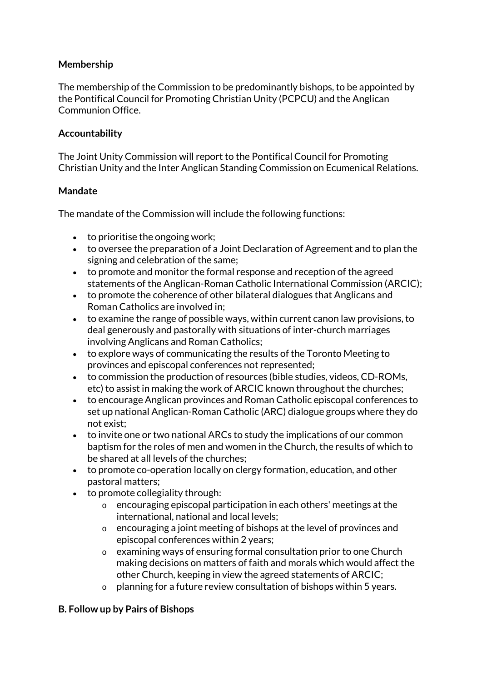## **Membership**

The membership of the Commission to be predominantly bishops, to be appointed by the Pontifical Council for Promoting Christian Unity (PCPCU) and the Anglican Communion Office.

## **Accountability**

The Joint Unity Commission will report to the Pontifical Council for Promoting Christian Unity and the Inter Anglican Standing Commission on Ecumenical Relations.

## **Mandate**

The mandate of the Commission will include the following functions:

- to prioritise the ongoing work:
- to oversee the preparation of a Joint Declaration of Agreement and to plan the signing and celebration of the same;
- to promote and monitor the formal response and reception of the agreed statements of the Anglican-Roman Catholic International Commission (ARCIC);
- to promote the coherence of other bilateral dialogues that Anglicans and Roman Catholics are involved in;
- to examine the range of possible ways, within current canon law provisions, to deal generously and pastorally with situations of inter-church marriages involving Anglicans and Roman Catholics;
- to explore ways of communicating the results of the Toronto Meeting to provinces and episcopal conferences not represented;
- to commission the production of resources (bible studies, videos, CD-ROMs, etc) to assist in making the work of ARCIC known throughout the churches;
- to encourage Anglican provinces and Roman Catholic episcopal conferences to set up national Anglican-Roman Catholic (ARC) dialogue groups where they do not exist;
- to invite one or two national ARCs to study the implications of our common baptism for the roles of men and women in the Church, the results of which to be shared at all levels of the churches;
- to promote co-operation locally on clergy formation, education, and other pastoral matters;
- to promote collegiality through:
	- o encouraging episcopal participation in each others' meetings at the international, national and local levels;
	- o encouraging a joint meeting of bishops at the level of provinces and episcopal conferences within 2 years;
	- o examining ways of ensuring formal consultation prior to one Church making decisions on matters of faith and morals which would affect the other Church, keeping in view the agreed statements of ARCIC;
	- $\circ$  planning for a future review consultation of bishops within 5 years.

## **B. Follow up by Pairs of Bishops**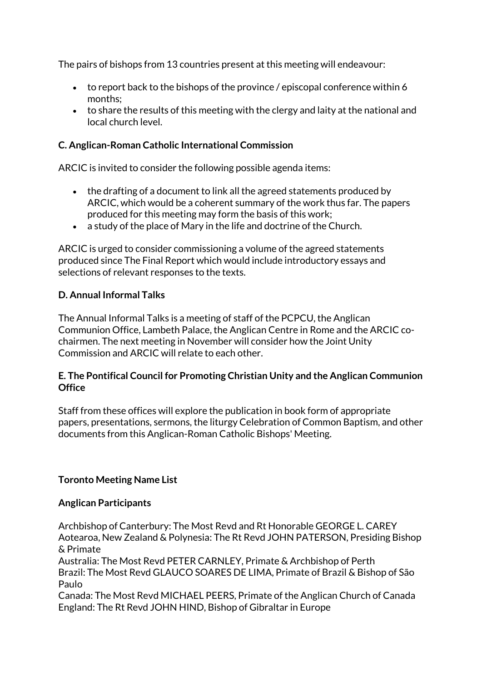The pairs of bishops from 13 countries present at this meeting will endeavour:

- to report back to the bishops of the province / episcopal conference within 6 months;
- to share the results of this meeting with the clergy and laity at the national and local church level.

## **C. Anglican-Roman Catholic International Commission**

ARCIC is invited to consider the following possible agenda items:

- the drafting of a document to link all the agreed statements produced by ARCIC, which would be a coherent summary of the work thus far. The papers produced for this meeting may form the basis of this work;
- a study of the place of Mary in the life and doctrine of the Church.

ARCIC is urged to consider commissioning a volume of the agreed statements produced since The Final Report which would include introductory essays and selections of relevant responses to the texts.

## **D. Annual Informal Talks**

The Annual Informal Talks is a meeting of staff of the PCPCU, the Anglican Communion Office, Lambeth Palace, the Anglican Centre in Rome and the ARCIC cochairmen. The next meeting in November will consider how the Joint Unity Commission and ARCIC will relate to each other.

## **E. The Pontifical Council for Promoting Christian Unity and the Anglican Communion Office**

Staff from these offices will explore the publication in book form of appropriate papers, presentations, sermons, the liturgy Celebration of Common Baptism, and other documents from this Anglican-Roman Catholic Bishops' Meeting.

## **Toronto Meeting Name List**

## **Anglican Participants**

Archbishop of Canterbury: The Most Revd and Rt Honorable GEORGE L. CAREY Aotearoa, New Zealand & Polynesia: The Rt Revd JOHN PATERSON, Presiding Bishop & Primate

Australia: The Most Revd PETER CARNLEY, Primate & Archbishop of Perth Brazil: The Most Revd GLAUCO SOARES DE LIMA, Primate of Brazil & Bishop of São Paulo

Canada: The Most Revd MICHAEL PEERS, Primate of the Anglican Church of Canada England: The Rt Revd JOHN HIND, Bishop of Gibraltar in Europe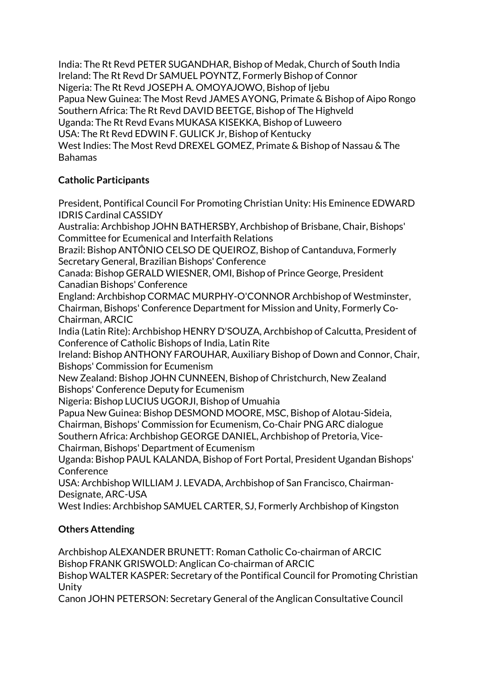India: The Rt Revd PETER SUGANDHAR, Bishop of Medak, Church of South India Ireland: The Rt Revd Dr SAMUEL POYNTZ, Formerly Bishop of Connor Nigeria: The Rt Revd JOSEPH A. OMOYAJOWO, Bishop of Ijebu Papua New Guinea: The Most Revd JAMES AYONG, Primate & Bishop of Aipo Rongo Southern Africa: The Rt Revd DAVID BEETGE, Bishop of The Highveld Uganda: The Rt Revd Evans MUKASA KISEKKA, Bishop of Luweero USA: The Rt Revd EDWIN F. GULICK Jr, Bishop of Kentucky West Indies: The Most Revd DREXEL GOMEZ, Primate & Bishop of Nassau & The Bahamas

## **Catholic Participants**

President, Pontifical Council For Promoting Christian Unity: His Eminence EDWARD IDRIS Cardinal CASSIDY

Australia: Archbishop JOHN BATHERSBY, Archbishop of Brisbane, Chair, Bishops' Committee for Ecumenical and Interfaith Relations

Brazil: Bishop ANTÔNIO CELSO DE QUEIROZ, Bishop of Cantanduva, Formerly Secretary General, Brazilian Bishops' Conference

Canada: Bishop GERALD WIESNER, OMI, Bishop of Prince George, President Canadian Bishops' Conference

England: Archbishop CORMAC MURPHY-O'CONNOR Archbishop of Westminster, Chairman, Bishops' Conference Department for Mission and Unity, Formerly Co-Chairman, ARCIC

India (Latin Rite): Archbishop HENRY D'SOUZA, Archbishop of Calcutta, President of Conference of Catholic Bishops of India, Latin Rite

Ireland: Bishop ANTHONY FAROUHAR, Auxiliary Bishop of Down and Connor, Chair, Bishops' Commission for Ecumenism

New Zealand: Bishop JOHN CUNNEEN, Bishop of Christchurch, New Zealand Bishops' Conference Deputy for Ecumenism

Nigeria: Bishop LUCIUS UGORJI, Bishop of Umuahia

Papua New Guinea: Bishop DESMOND MOORE, MSC, Bishop of Alotau-Sideia, Chairman, Bishops' Commission for Ecumenism, Co-Chair PNG ARC dialogue Southern Africa: Archbishop GEORGE DANIEL, Archbishop of Pretoria, Vice-Chairman, Bishops' Department of Ecumenism

Uganda: Bishop PAUL KALANDA, Bishop of Fort Portal, President Ugandan Bishops' **Conference** 

USA: Archbishop WILLIAM J. LEVADA, Archbishop of San Francisco, Chairman-Designate, ARC-USA

West Indies: Archbishop SAMUEL CARTER, SJ, Formerly Archbishop of Kingston

# **Others Attending**

Archbishop ALEXANDER BRUNETT: Roman Catholic Co-chairman of ARCIC Bishop FRANK GRISWOLD: Anglican Co-chairman of ARCIC

Bishop WALTER KASPER: Secretary of the Pontifical Council for Promoting Christian Unity

Canon JOHN PETERSON: Secretary General of the Anglican Consultative Council